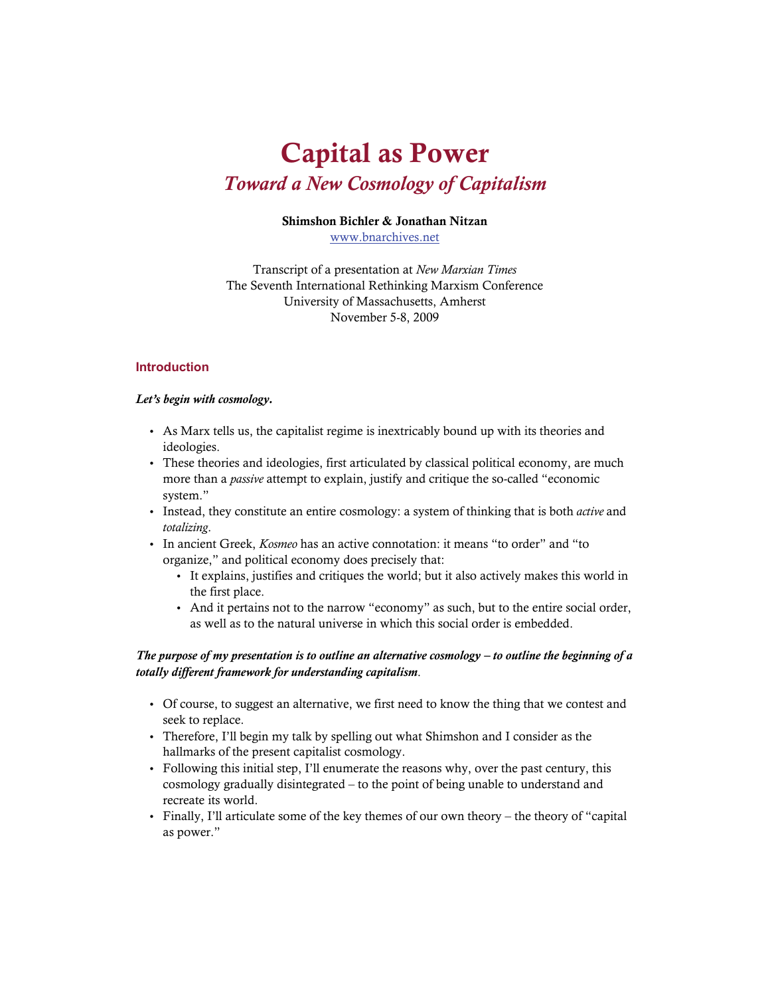# **Capital as Power**  *Toward a New Cosmology of Capitalism*

#### **Shimshon Bichler & Jonathan Nitzan**

[www.bnarchives.net](http://www.bnarchives.net/)

Transcript of a presentation at *New Marxian Times* The Seventh International Rethinking Marxism Conference University of Massachusetts, Amherst November 5-8, 2009

#### **Introduction**

#### *Let's begin with cosmology.*

- As Marx tells us, the capitalist regime is inextricably bound up with its theories and ideologies.
- These theories and ideologies, first articulated by classical political economy, are much more than a *passive* attempt to explain, justify and critique the so-called "economic system."
- Instead, they constitute an entire cosmology: a system of thinking that is both *active* and *totalizing*.
- In ancient Greek, *Kosmeo* has an active connotation: it means "to order" and "to organize," and political economy does precisely that:
	- It explains, justifies and critiques the world; but it also actively makes this world in the first place.
	- And it pertains not to the narrow "economy" as such, but to the entire social order, as well as to the natural universe in which this social order is embedded.

#### *The purpose of my presentation is to outline an alternative cosmology – to outline the beginning of a totally different framework for understanding capitalism*.

- Of course, to suggest an alternative, we first need to know the thing that we contest and seek to replace.
- Therefore, I'll begin my talk by spelling out what Shimshon and I consider as the hallmarks of the present capitalist cosmology.
- Following this initial step, I'll enumerate the reasons why, over the past century, this cosmology gradually disintegrated – to the point of being unable to understand and recreate its world.
- Finally, I'll articulate some of the key themes of our own theory the theory of "capital as power."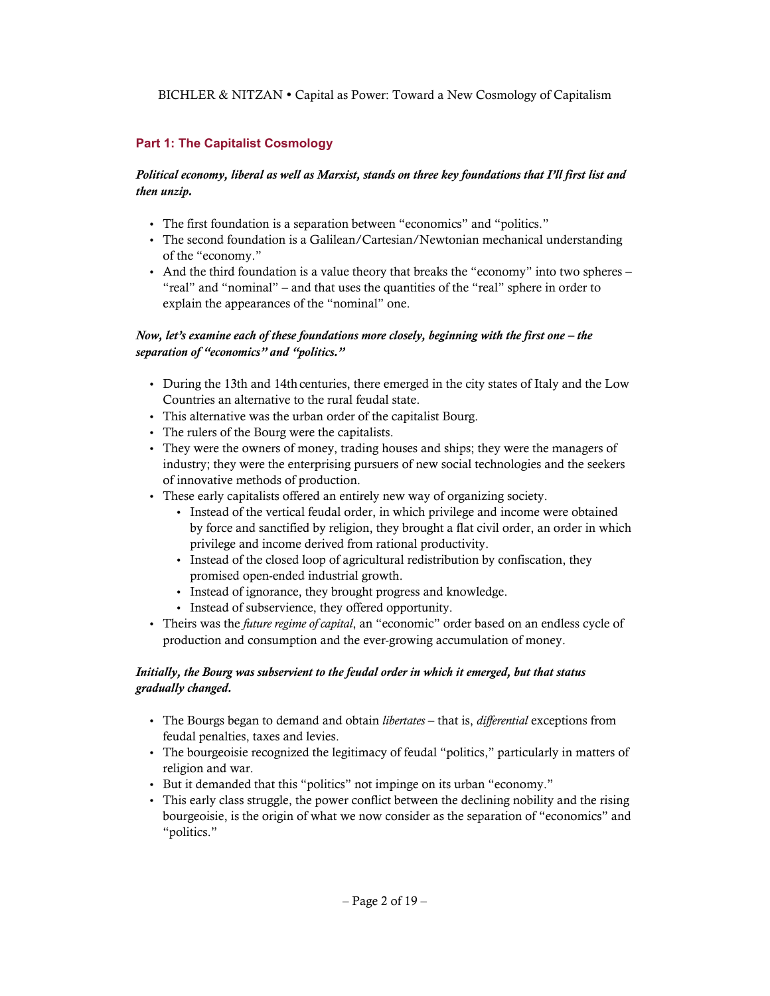# **Part 1: The Capitalist Cosmology**

## *Political economy, liberal as well as Marxist, stands on three key foundations that I'll first list and then unzip.*

- The first foundation is a separation between "economics" and "politics."
- The second foundation is a Galilean/Cartesian/Newtonian mechanical understanding of the "economy."
- And the third foundation is a value theory that breaks the "economy" into two spheres "real" and "nominal" – and that uses the quantities of the "real" sphere in order to explain the appearances of the "nominal" one.

# *Now, let's examine each of these foundations more closely, beginning with the first one – the separation of "economics" and "politics."*

- During the 13th and 14th centuries, there emerged in the city states of Italy and the Low Countries an alternative to the rural feudal state.
- This alternative was the urban order of the capitalist Bourg.
- The rulers of the Bourg were the capitalists.
- They were the owners of money, trading houses and ships; they were the managers of industry; they were the enterprising pursuers of new social technologies and the seekers of innovative methods of production.
- These early capitalists offered an entirely new way of organizing society.
	- Instead of the vertical feudal order, in which privilege and income were obtained by force and sanctified by religion, they brought a flat civil order, an order in which privilege and income derived from rational productivity.
	- Instead of the closed loop of agricultural redistribution by confiscation, they promised open-ended industrial growth.
	- Instead of ignorance, they brought progress and knowledge.
	- Instead of subservience, they offered opportunity.
- Theirs was the *future regime of capital*, an "economic" order based on an endless cycle of production and consumption and the ever-growing accumulation of money.

# *Initially, the Bourg was subservient to the feudal order in which it emerged, but that status gradually changed.*

- The Bourgs began to demand and obtain *libertates* that is, *differential* exceptions from feudal penalties, taxes and levies.
- The bourgeoisie recognized the legitimacy of feudal "politics," particularly in matters of religion and war.
- But it demanded that this "politics" not impinge on its urban "economy."
- This early class struggle, the power conflict between the declining nobility and the rising bourgeoisie, is the origin of what we now consider as the separation of "economics" and "politics."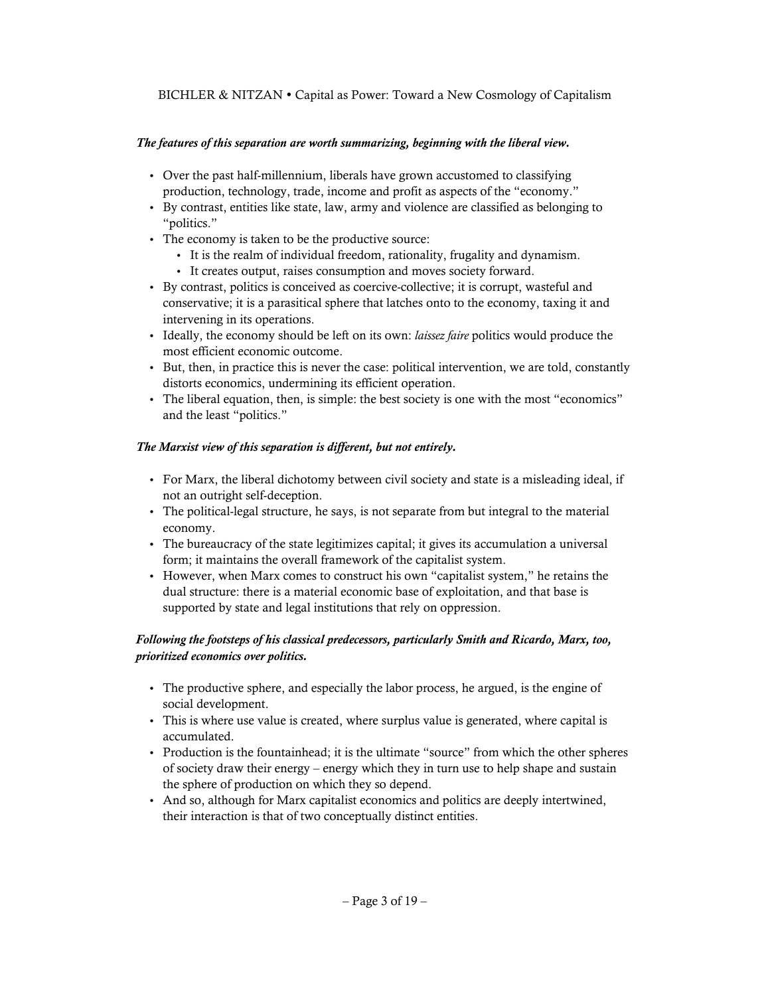# *The features of this separation are worth summarizing, beginning with the liberal view.*

- Over the past half-millennium, liberals have grown accustomed to classifying production, technology, trade, income and profit as aspects of the "economy."
- By contrast, entities like state, law, army and violence are classified as belonging to "politics."
- The economy is taken to be the productive source:
	- It is the realm of individual freedom, rationality, frugality and dynamism.
	- It creates output, raises consumption and moves society forward.
- By contrast, politics is conceived as coercive-collective; it is corrupt, wasteful and conservative; it is a parasitical sphere that latches onto to the economy, taxing it and intervening in its operations.
- Ideally, the economy should be left on its own: *laissez faire* politics would produce the most efficient economic outcome.
- But, then, in practice this is never the case: political intervention, we are told, constantly distorts economics, undermining its efficient operation.
- The liberal equation, then, is simple: the best society is one with the most "economics" and the least "politics."

# *The Marxist view of this separation is different, but not entirely.*

- For Marx, the liberal dichotomy between civil society and state is a misleading ideal, if not an outright self-deception.
- The political-legal structure, he says, is not separate from but integral to the material economy.
- The bureaucracy of the state legitimizes capital; it gives its accumulation a universal form; it maintains the overall framework of the capitalist system.
- However, when Marx comes to construct his own "capitalist system," he retains the dual structure: there is a material economic base of exploitation, and that base is supported by state and legal institutions that rely on oppression.

## *Following the footsteps of his classical predecessors, particularly Smith and Ricardo, Marx, too, prioritized economics over politics.*

- The productive sphere, and especially the labor process, he argued, is the engine of social development.
- This is where use value is created, where surplus value is generated, where capital is accumulated.
- Production is the fountainhead; it is the ultimate "source" from which the other spheres of society draw their energy – energy which they in turn use to help shape and sustain the sphere of production on which they so depend.
- And so, although for Marx capitalist economics and politics are deeply intertwined, their interaction is that of two conceptually distinct entities.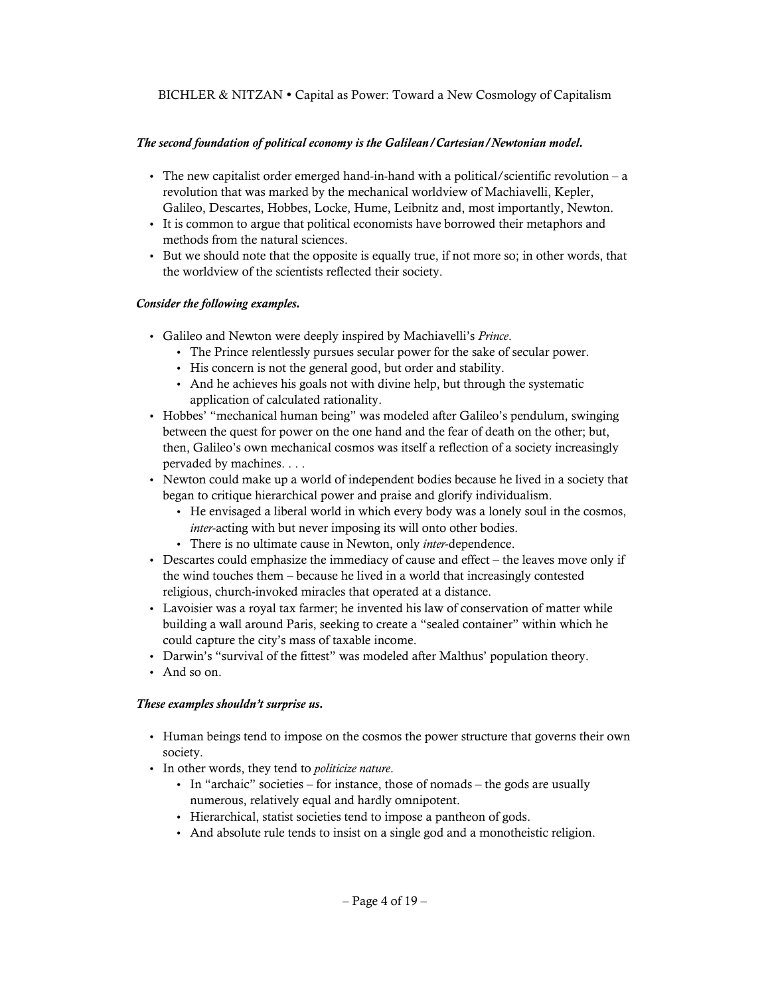## *The second foundation of political economy is the Galilean/Cartesian/Newtonian model.*

- The new capitalist order emerged hand-in-hand with a political/scientific revolution a revolution that was marked by the mechanical worldview of Machiavelli, Kepler, Galileo, Descartes, Hobbes, Locke, Hume, Leibnitz and, most importantly, Newton.
- It is common to argue that political economists have borrowed their metaphors and methods from the natural sciences.
- But we should note that the opposite is equally true, if not more so; in other words, that the worldview of the scientists reflected their society.

## *Consider the following examples.*

- Galileo and Newton were deeply inspired by Machiavelli's *Prince*.
	- The Prince relentlessly pursues secular power for the sake of secular power.
	- His concern is not the general good, but order and stability.
	- And he achieves his goals not with divine help, but through the systematic application of calculated rationality.
- Hobbes' "mechanical human being" was modeled after Galileo's pendulum, swinging between the quest for power on the one hand and the fear of death on the other; but, then, Galileo's own mechanical cosmos was itself a reflection of a society increasingly pervaded by machines. . . .
- Newton could make up a world of independent bodies because he lived in a society that began to critique hierarchical power and praise and glorify individualism.
	- He envisaged a liberal world in which every body was a lonely soul in the cosmos, *inter*-acting with but never imposing its will onto other bodies.
	- There is no ultimate cause in Newton, only *inter*-dependence.
- Descartes could emphasize the immediacy of cause and effect the leaves move only if the wind touches them – because he lived in a world that increasingly contested religious, church-invoked miracles that operated at a distance.
- Lavoisier was a royal tax farmer; he invented his law of conservation of matter while building a wall around Paris, seeking to create a "sealed container" within which he could capture the city's mass of taxable income.
- Darwin's "survival of the fittest" was modeled after Malthus' population theory.
- And so on.

#### *These examples shouldn't surprise us.*

- Human beings tend to impose on the cosmos the power structure that governs their own society.
- In other words, they tend to *politicize nature*.
	- In "archaic" societies for instance, those of nomads the gods are usually numerous, relatively equal and hardly omnipotent.
	- Hierarchical, statist societies tend to impose a pantheon of gods.
	- And absolute rule tends to insist on a single god and a monotheistic religion.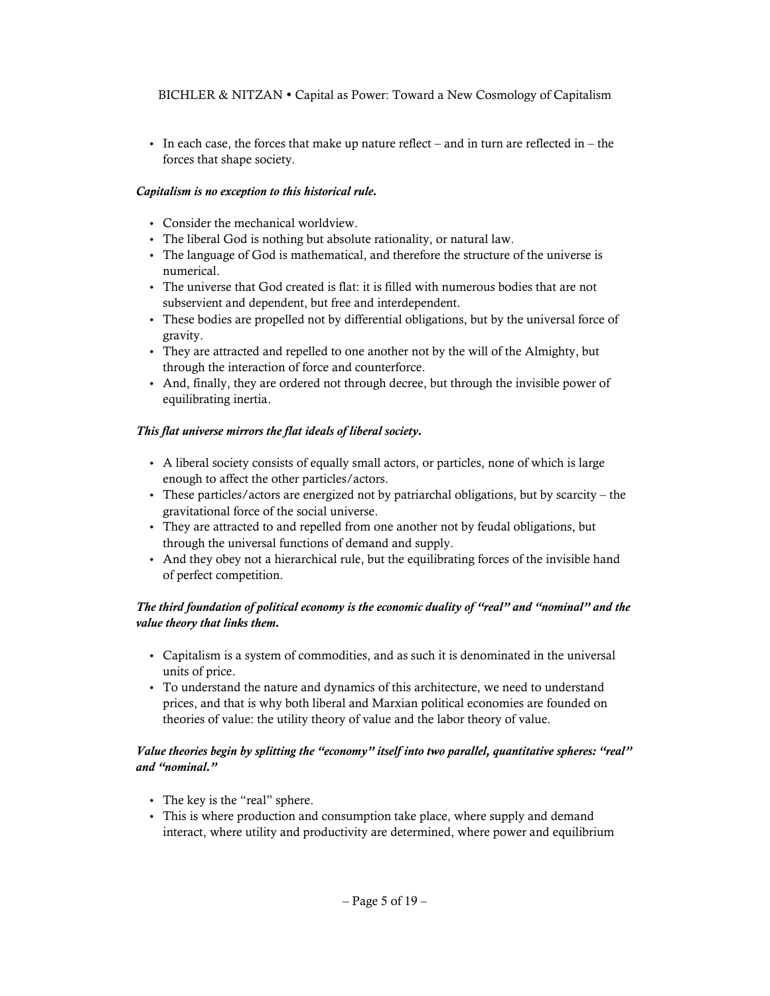In each case, the forces that make up nature reflect – and in turn are reflected in – the forces that shape society.

## *Capitalism is no exception to this historical rule.*

- Consider the mechanical worldview.
- The liberal God is nothing but absolute rationality, or natural law.
- The language of God is mathematical, and therefore the structure of the universe is numerical.
- The universe that God created is flat: it is filled with numerous bodies that are not subservient and dependent, but free and interdependent.
- These bodies are propelled not by differential obligations, but by the universal force of gravity.
- They are attracted and repelled to one another not by the will of the Almighty, but through the interaction of force and counterforce.
- And, finally, they are ordered not through decree, but through the invisible power of equilibrating inertia.

## *This flat universe mirrors the flat ideals of liberal society.*

- A liberal society consists of equally small actors, or particles, none of which is large enough to affect the other particles/actors.
- These particles/actors are energized not by patriarchal obligations, but by scarcity the gravitational force of the social universe.
- They are attracted to and repelled from one another not by feudal obligations, but through the universal functions of demand and supply.
- And they obey not a hierarchical rule, but the equilibrating forces of the invisible hand of perfect competition.

## *The third foundation of political economy is the economic duality of "real" and "nominal" and the value theory that links them.*

- Capitalism is a system of commodities, and as such it is denominated in the universal units of price.
- To understand the nature and dynamics of this architecture, we need to understand prices, and that is why both liberal and Marxian political economies are founded on theories of value: the utility theory of value and the labor theory of value.

## *Value theories begin by splitting the "economy" itself into two parallel, quantitative spheres: "real" and "nominal."*

- The key is the "real" sphere.
- This is where production and consumption take place, where supply and demand interact, where utility and productivity are determined, where power and equilibrium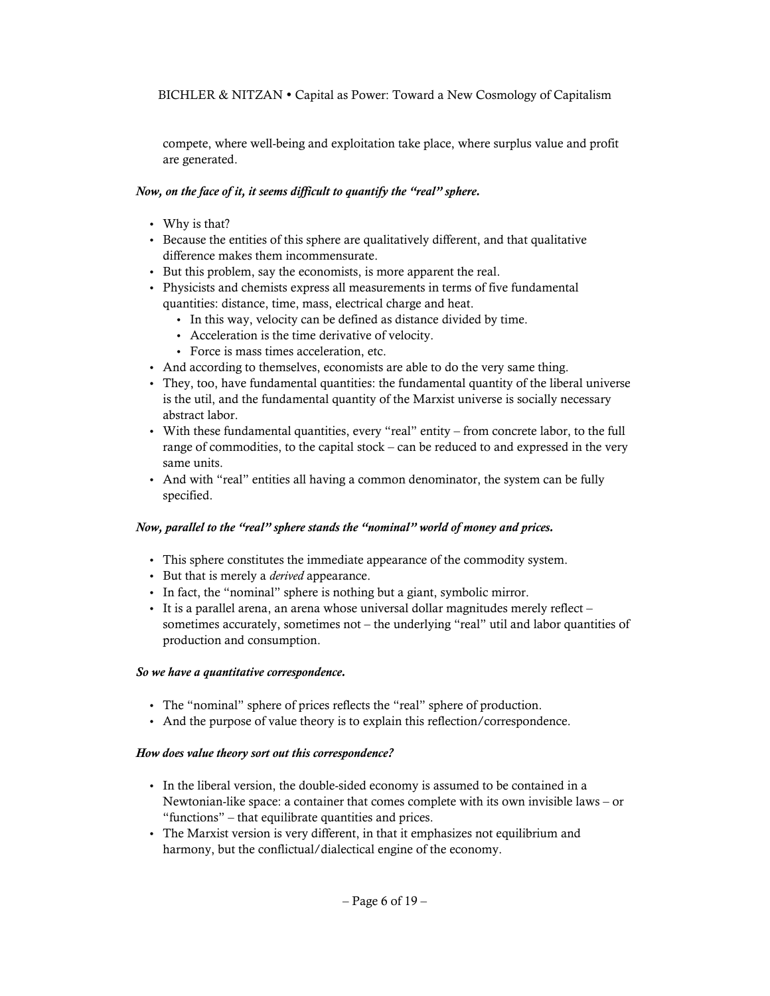compete, where well-being and exploitation take place, where surplus value and profit are generated.

## *Now, on the face of it, it seems difficult to quantify the "real" sphere.*

- Why is that?
- Because the entities of this sphere are qualitatively different, and that qualitative difference makes them incommensurate.
- But this problem, say the economists, is more apparent the real.
- Physicists and chemists express all measurements in terms of five fundamental quantities: distance, time, mass, electrical charge and heat.
	- In this way, velocity can be defined as distance divided by time.
	- Acceleration is the time derivative of velocity.
	- Force is mass times acceleration, etc.
- And according to themselves, economists are able to do the very same thing.
- They, too, have fundamental quantities: the fundamental quantity of the liberal universe is the util, and the fundamental quantity of the Marxist universe is socially necessary abstract labor.
- With these fundamental quantities, every "real" entity from concrete labor, to the full range of commodities, to the capital stock – can be reduced to and expressed in the very same units.
- And with "real" entities all having a common denominator, the system can be fully specified.

#### *Now, parallel to the "real" sphere stands the "nominal" world of money and prices.*

- This sphere constitutes the immediate appearance of the commodity system.
- But that is merely a *derived* appearance.
- In fact, the "nominal" sphere is nothing but a giant, symbolic mirror.
- It is a parallel arena, an arena whose universal dollar magnitudes merely reflect sometimes accurately, sometimes not – the underlying "real" util and labor quantities of production and consumption.

#### *So we have a quantitative correspondence.*

- The "nominal" sphere of prices reflects the "real" sphere of production.
- And the purpose of value theory is to explain this reflection/correspondence.

#### *How does value theory sort out this correspondence?*

- In the liberal version, the double-sided economy is assumed to be contained in a Newtonian-like space: a container that comes complete with its own invisible laws – or "functions" – that equilibrate quantities and prices.
- The Marxist version is very different, in that it emphasizes not equilibrium and harmony, but the conflictual/dialectical engine of the economy.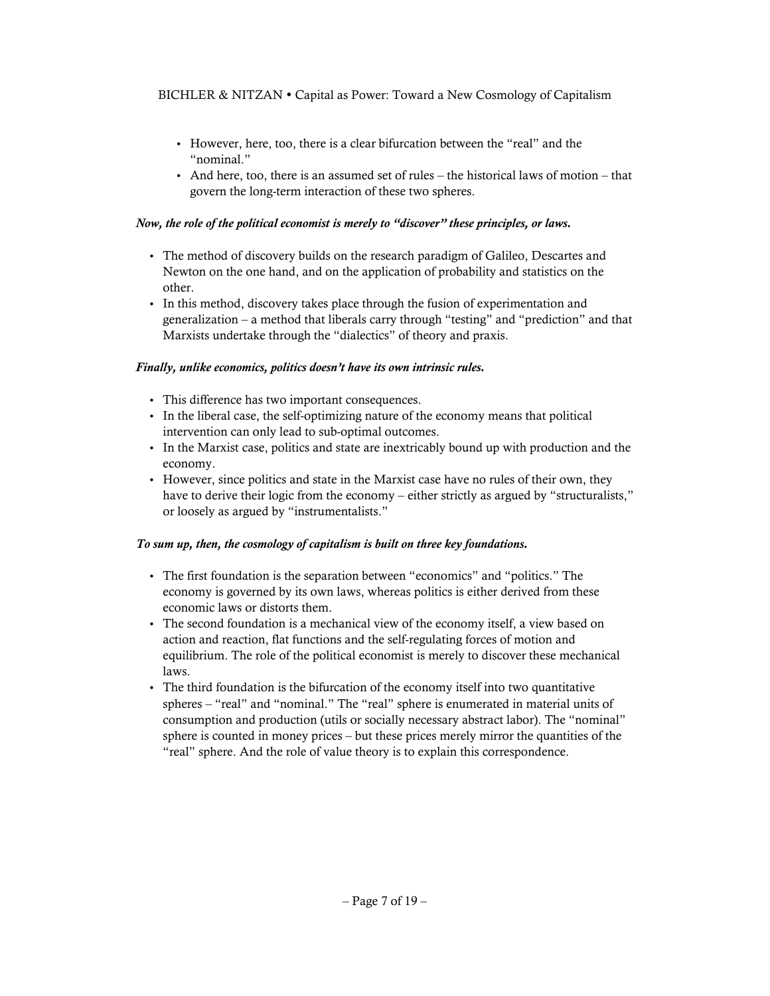- However, here, too, there is a clear bifurcation between the "real" and the "nominal."
- $\bullet$  And here, too, there is an assumed set of rules the historical laws of motion that govern the long-term interaction of these two spheres.

## *Now, the role of the political economist is merely to "discover" these principles, or laws.*

- The method of discovery builds on the research paradigm of Galileo, Descartes and Newton on the one hand, and on the application of probability and statistics on the other.
- In this method, discovery takes place through the fusion of experimentation and generalization – a method that liberals carry through "testing" and "prediction" and that Marxists undertake through the "dialectics" of theory and praxis.

## *Finally, unlike economics, politics doesn't have its own intrinsic rules.*

- This difference has two important consequences.
- In the liberal case, the self-optimizing nature of the economy means that political intervention can only lead to sub-optimal outcomes.
- In the Marxist case, politics and state are inextricably bound up with production and the economy.
- However, since politics and state in the Marxist case have no rules of their own, they have to derive their logic from the economy – either strictly as argued by "structuralists," or loosely as argued by "instrumentalists."

# *To sum up, then, the cosmology of capitalism is built on three key foundations.*

- The first foundation is the separation between "economics" and "politics." The economy is governed by its own laws, whereas politics is either derived from these economic laws or distorts them.
- The second foundation is a mechanical view of the economy itself, a view based on action and reaction, flat functions and the self-regulating forces of motion and equilibrium. The role of the political economist is merely to discover these mechanical laws.
- The third foundation is the bifurcation of the economy itself into two quantitative spheres – "real" and "nominal." The "real" sphere is enumerated in material units of consumption and production (utils or socially necessary abstract labor). The "nominal" sphere is counted in money prices – but these prices merely mirror the quantities of the "real" sphere. And the role of value theory is to explain this correspondence.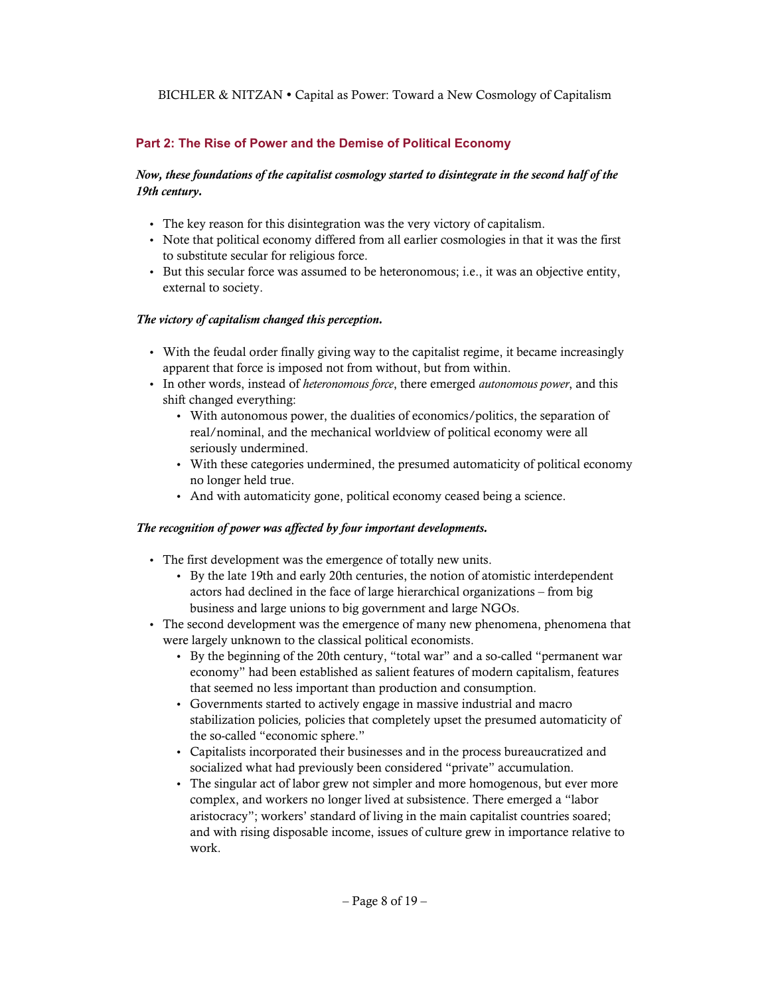## **Part 2: The Rise of Power and the Demise of Political Economy**

## *Now, these foundations of the capitalist cosmology started to disintegrate in the second half of the 19th century.*

- The key reason for this disintegration was the very victory of capitalism.
- Note that political economy differed from all earlier cosmologies in that it was the first to substitute secular for religious force.
- But this secular force was assumed to be heteronomous; i.e., it was an objective entity, external to society.

#### *The victory of capitalism changed this perception.*

- With the feudal order finally giving way to the capitalist regime, it became increasingly apparent that force is imposed not from without, but from within.
- In other words, instead of *heteronomous force*, there emerged *autonomous power*, and this shift changed everything:
	- With autonomous power, the dualities of economics/politics, the separation of real/nominal, and the mechanical worldview of political economy were all seriously undermined.
	- With these categories undermined, the presumed automaticity of political economy no longer held true.
	- And with automaticity gone, political economy ceased being a science.

#### *The recognition of power was affected by four important developments.*

- The first development was the emergence of totally new units.
	- By the late 19th and early 20th centuries, the notion of atomistic interdependent actors had declined in the face of large hierarchical organizations – from big business and large unions to big government and large NGOs.
- The second development was the emergence of many new phenomena, phenomena that were largely unknown to the classical political economists.
	- By the beginning of the 20th century, "total war" and a so-called "permanent war economy" had been established as salient features of modern capitalism, features that seemed no less important than production and consumption.
	- Governments started to actively engage in massive industrial and macro stabilization policies*,* policies that completely upset the presumed automaticity of the so-called "economic sphere."
	- Capitalists incorporated their businesses and in the process bureaucratized and socialized what had previously been considered "private" accumulation.
	- The singular act of labor grew not simpler and more homogenous, but ever more complex, and workers no longer lived at subsistence. There emerged a "labor aristocracy"; workers' standard of living in the main capitalist countries soared; and with rising disposable income, issues of culture grew in importance relative to work.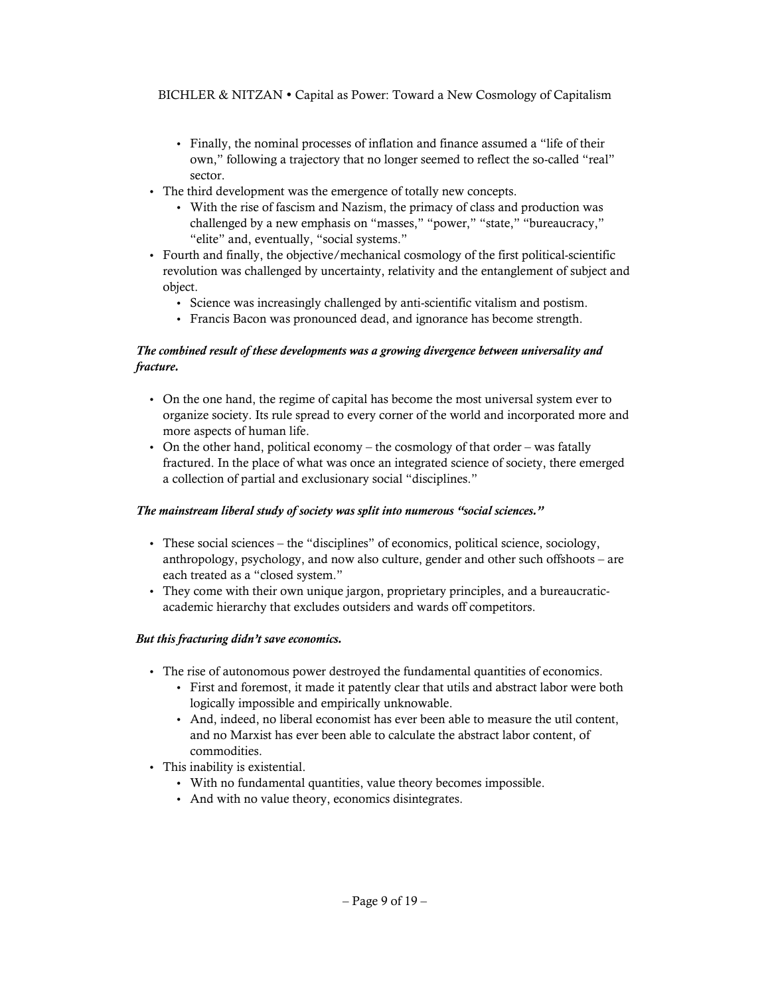- Finally, the nominal processes of inflation and finance assumed a "life of their own," following a trajectory that no longer seemed to reflect the so-called "real" sector.
- The third development was the emergence of totally new concepts.
	- With the rise of fascism and Nazism, the primacy of class and production was challenged by a new emphasis on "masses," "power," "state," "bureaucracy," "elite" and, eventually, "social systems."
- Fourth and finally, the objective/mechanical cosmology of the first political-scientific revolution was challenged by uncertainty, relativity and the entanglement of subject and object.
	- Science was increasingly challenged by anti-scientific vitalism and postism.
	- Francis Bacon was pronounced dead, and ignorance has become strength.

# *The combined result of these developments was a growing divergence between universality and fracture.*

- On the one hand, the regime of capital has become the most universal system ever to organize society. Its rule spread to every corner of the world and incorporated more and more aspects of human life.
- On the other hand, political economy the cosmology of that order was fatally fractured. In the place of what was once an integrated science of society, there emerged a collection of partial and exclusionary social "disciplines."

#### *The mainstream liberal study of society was split into numerous "social sciences."*

- These social sciences the "disciplines" of economics, political science, sociology, anthropology, psychology, and now also culture, gender and other such offshoots – are each treated as a "closed system."
- They come with their own unique jargon, proprietary principles, and a bureaucraticacademic hierarchy that excludes outsiders and wards off competitors.

# *But this fracturing didn't save economics.*

- The rise of autonomous power destroyed the fundamental quantities of economics.
	- First and foremost, it made it patently clear that utils and abstract labor were both logically impossible and empirically unknowable.
	- And, indeed, no liberal economist has ever been able to measure the util content, and no Marxist has ever been able to calculate the abstract labor content, of commodities.
- This inability is existential.
	- With no fundamental quantities, value theory becomes impossible.
	- And with no value theory, economics disintegrates.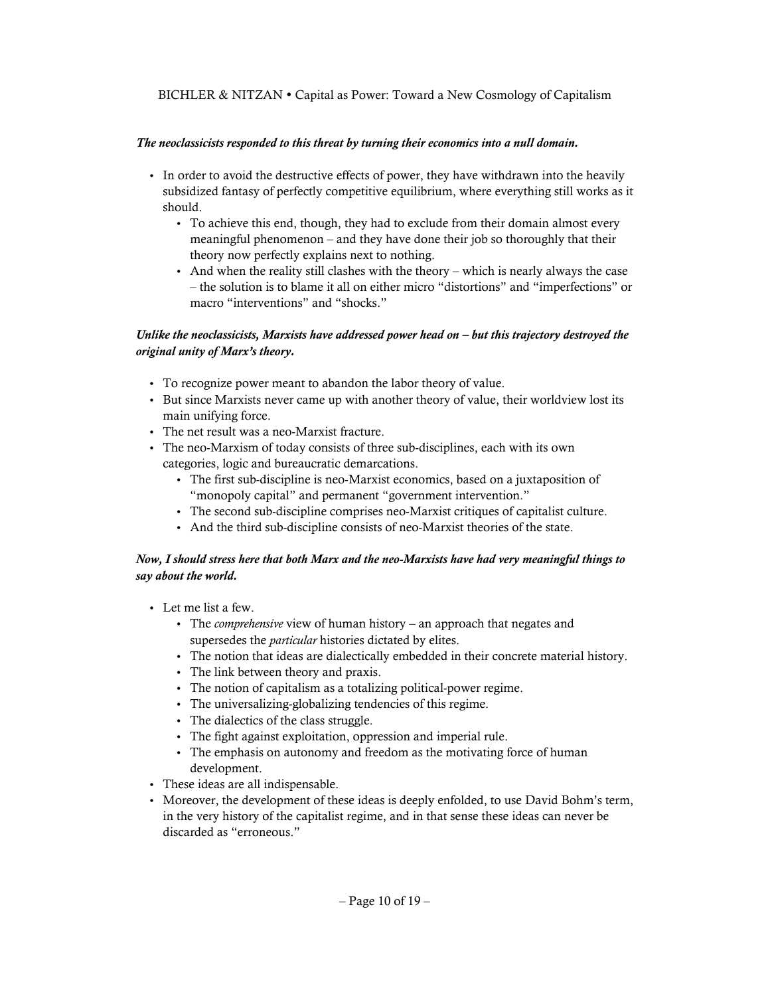#### *The neoclassicists responded to this threat by turning their economics into a null domain.*

- In order to avoid the destructive effects of power, they have withdrawn into the heavily subsidized fantasy of perfectly competitive equilibrium, where everything still works as it should.
	- To achieve this end, though, they had to exclude from their domain almost every meaningful phenomenon – and they have done their job so thoroughly that their theory now perfectly explains next to nothing.
	- And when the reality still clashes with the theory which is nearly always the case – the solution is to blame it all on either micro "distortions" and "imperfections" or macro "interventions" and "shocks."

## *Unlike the neoclassicists, Marxists have addressed power head on – but this trajectory destroyed the original unity of Marx's theory.*

- To recognize power meant to abandon the labor theory of value.
- But since Marxists never came up with another theory of value, their worldview lost its main unifying force.
- The net result was a neo-Marxist fracture.
- The neo-Marxism of today consists of three sub-disciplines, each with its own categories, logic and bureaucratic demarcations.
	- The first sub-discipline is neo-Marxist economics, based on a juxtaposition of "monopoly capital" and permanent "government intervention."
	- The second sub-discipline comprises neo-Marxist critiques of capitalist culture.
	- And the third sub-discipline consists of neo-Marxist theories of the state.

#### *Now, I should stress here that both Marx and the neo-Marxists have had very meaningful things to say about the world.*

- Let me list a few.
	- The *comprehensive* view of human history an approach that negates and supersedes the *particular* histories dictated by elites.
	- The notion that ideas are dialectically embedded in their concrete material history.
	- The link between theory and praxis.
	- The notion of capitalism as a totalizing political-power regime.
	- The universalizing-globalizing tendencies of this regime.
	- The dialectics of the class struggle.
	- The fight against exploitation, oppression and imperial rule.
	- The emphasis on autonomy and freedom as the motivating force of human development.
- These ideas are all indispensable.
- Moreover, the development of these ideas is deeply enfolded, to use David Bohm's term, in the very history of the capitalist regime, and in that sense these ideas can never be discarded as "erroneous."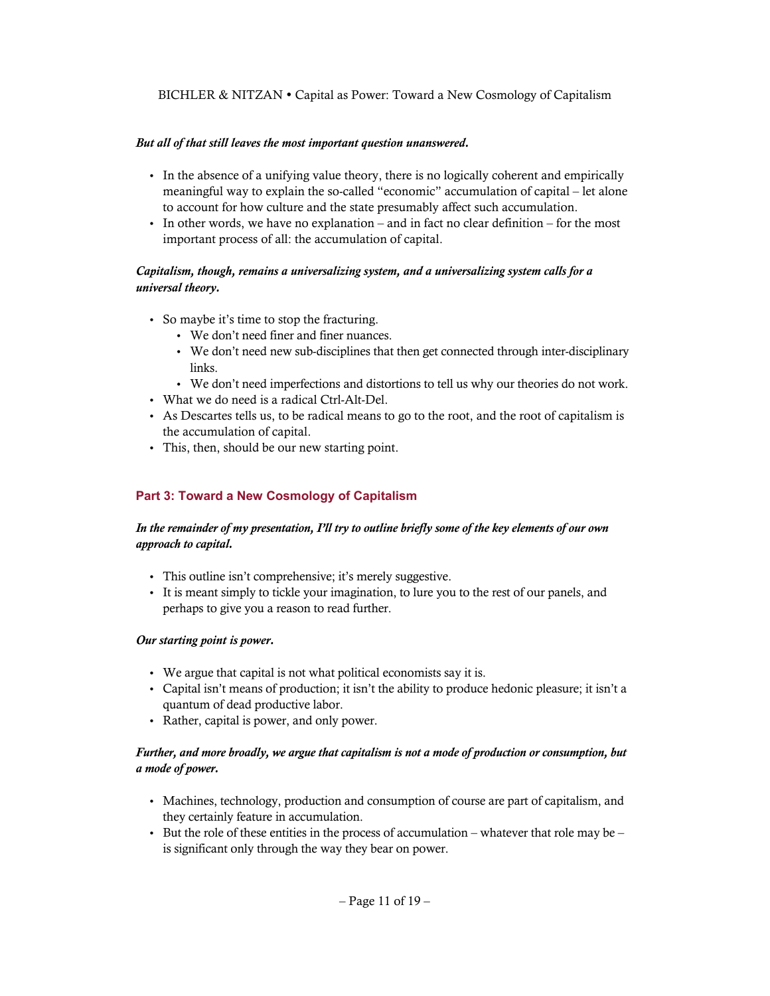#### *But all of that still leaves the most important question unanswered.*

- In the absence of a unifying value theory, there is no logically coherent and empirically meaningful way to explain the so-called "economic" accumulation of capital – let alone to account for how culture and the state presumably affect such accumulation.
- In other words, we have no explanation and in fact no clear definition for the most important process of all: the accumulation of capital.

## *Capitalism, though, remains a universalizing system, and a universalizing system calls for a universal theory.*

- So maybe it's time to stop the fracturing.
	- We don't need finer and finer nuances.
	- We don't need new sub-disciplines that then get connected through inter-disciplinary links.
	- We don't need imperfections and distortions to tell us why our theories do not work.
- What we do need is a radical Ctrl-Alt-Del.
- As Descartes tells us, to be radical means to go to the root, and the root of capitalism is the accumulation of capital.
- This, then, should be our new starting point.

## **Part 3: Toward a New Cosmology of Capitalism**

## *In the remainder of my presentation, I'll try to outline briefly some of the key elements of our own approach to capital.*

- This outline isn't comprehensive; it's merely suggestive.
- It is meant simply to tickle your imagination, to lure you to the rest of our panels, and perhaps to give you a reason to read further.

#### *Our starting point is power.*

- We argue that capital is not what political economists say it is.
- Capital isn't means of production; it isn't the ability to produce hedonic pleasure; it isn't a quantum of dead productive labor.
- Rather, capital is power, and only power.

#### *Further, and more broadly, we argue that capitalism is not a mode of production or consumption, but a mode of power.*

- Machines, technology, production and consumption of course are part of capitalism, and they certainly feature in accumulation.
- But the role of these entities in the process of accumulation whatever that role may be is significant only through the way they bear on power.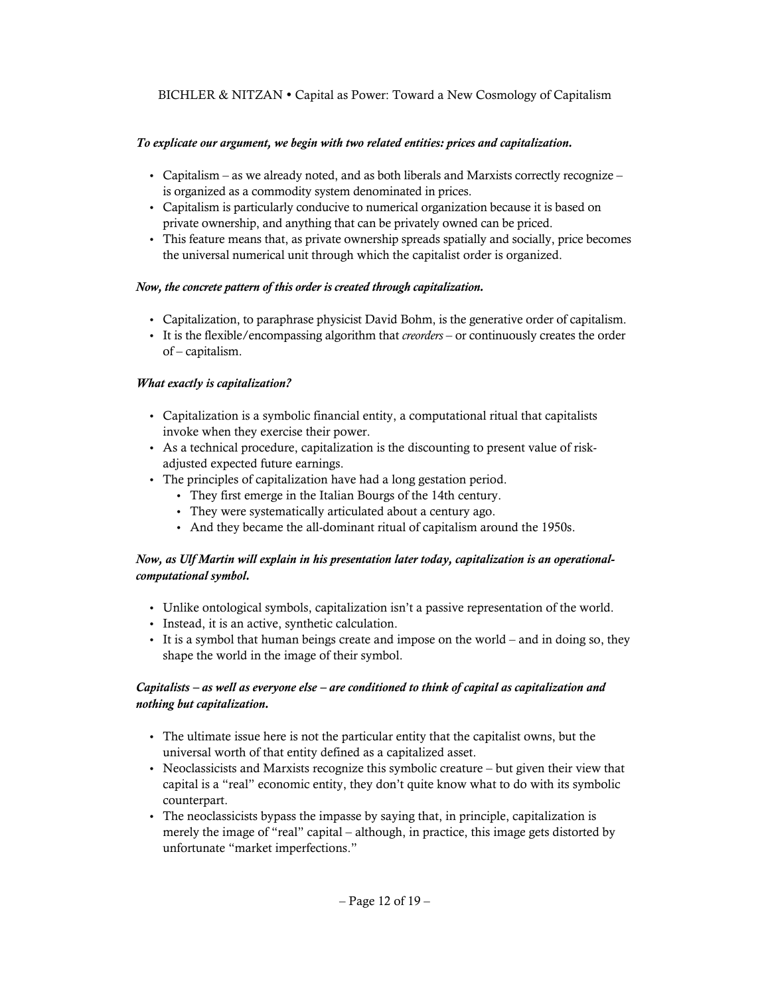## *To explicate our argument, we begin with two related entities: prices and capitalization.*

- Capitalism as we already noted, and as both liberals and Marxists correctly recognize is organized as a commodity system denominated in prices.
- Capitalism is particularly conducive to numerical organization because it is based on private ownership, and anything that can be privately owned can be priced.
- This feature means that, as private ownership spreads spatially and socially, price becomes the universal numerical unit through which the capitalist order is organized.

## *Now, the concrete pattern of this order is created through capitalization.*

- Capitalization, to paraphrase physicist David Bohm, is the generative order of capitalism.
- It is the flexible/encompassing algorithm that *creorders* or continuously creates the order of – capitalism.

## *What exactly is capitalization?*

- Capitalization is a symbolic financial entity, a computational ritual that capitalists invoke when they exercise their power.
- As a technical procedure, capitalization is the discounting to present value of riskadjusted expected future earnings.
- The principles of capitalization have had a long gestation period.
	- They first emerge in the Italian Bourgs of the 14th century.
	- They were systematically articulated about a century ago.
	- And they became the all-dominant ritual of capitalism around the 1950s.

## *Now, as Ulf Martin will explain in his presentation later today, capitalization is an operationalcomputational symbol.*

- Unlike ontological symbols, capitalization isn't a passive representation of the world.
- Instead, it is an active, synthetic calculation.
- It is a symbol that human beings create and impose on the world and in doing so, they shape the world in the image of their symbol.

## *Capitalists – as well as everyone else – are conditioned to think of capital as capitalization and nothing but capitalization.*

- The ultimate issue here is not the particular entity that the capitalist owns, but the universal worth of that entity defined as a capitalized asset.
- Neoclassicists and Marxists recognize this symbolic creature but given their view that capital is a "real" economic entity, they don't quite know what to do with its symbolic counterpart.
- The neoclassicists bypass the impasse by saying that, in principle, capitalization is merely the image of "real" capital – although, in practice, this image gets distorted by unfortunate "market imperfections."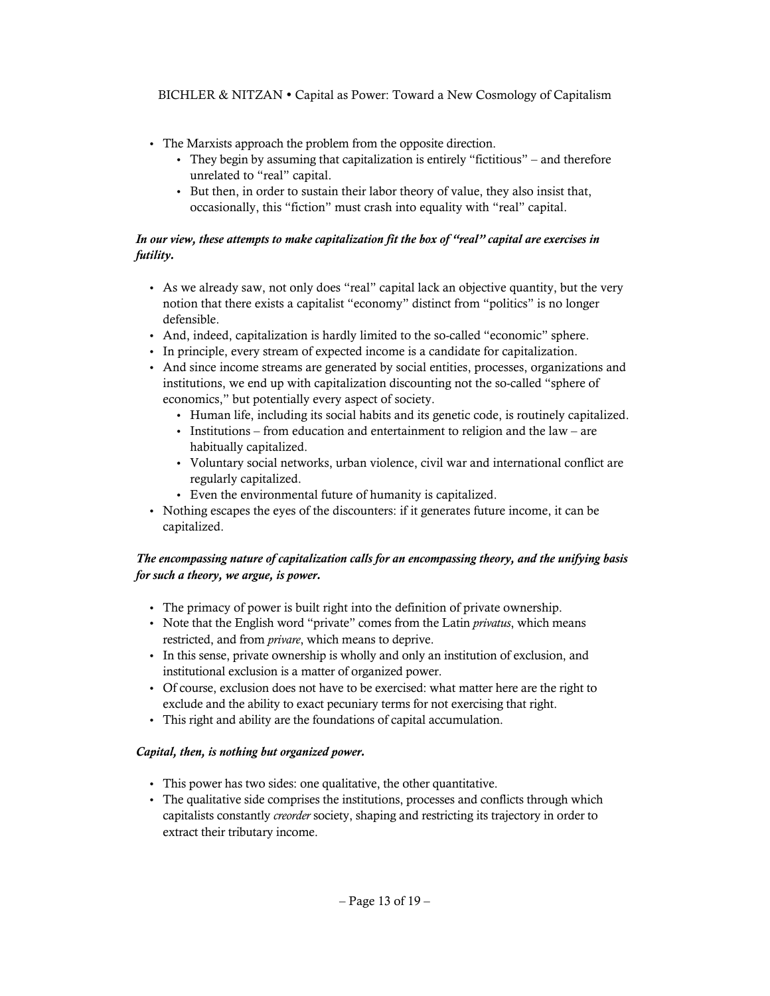- The Marxists approach the problem from the opposite direction.
	- They begin by assuming that capitalization is entirely "fictitious" and therefore unrelated to "real" capital.
	- But then, in order to sustain their labor theory of value, they also insist that, occasionally, this "fiction" must crash into equality with "real" capital.

## *In our view, these attempts to make capitalization fit the box of "real" capital are exercises in futility.*

- As we already saw, not only does "real" capital lack an objective quantity, but the very notion that there exists a capitalist "economy" distinct from "politics" is no longer defensible.
- And, indeed, capitalization is hardly limited to the so-called "economic" sphere.
- In principle, every stream of expected income is a candidate for capitalization.
- And since income streams are generated by social entities, processes, organizations and institutions, we end up with capitalization discounting not the so-called "sphere of economics," but potentially every aspect of society.
	- Human life, including its social habits and its genetic code, is routinely capitalized.
	- Institutions from education and entertainment to religion and the law are habitually capitalized.
	- Voluntary social networks, urban violence, civil war and international conflict are regularly capitalized.
	- Even the environmental future of humanity is capitalized.
- Nothing escapes the eyes of the discounters: if it generates future income, it can be capitalized.

## *The encompassing nature of capitalization calls for an encompassing theory, and the unifying basis for such a theory, we argue, is power.*

- The primacy of power is built right into the definition of private ownership.
- Note that the English word "private" comes from the Latin *privatus*, which means restricted, and from *privare*, which means to deprive.
- In this sense, private ownership is wholly and only an institution of exclusion, and institutional exclusion is a matter of organized power.
- Of course, exclusion does not have to be exercised: what matter here are the right to exclude and the ability to exact pecuniary terms for not exercising that right.
- This right and ability are the foundations of capital accumulation.

#### *Capital, then, is nothing but organized power.*

- This power has two sides: one qualitative, the other quantitative.
- The qualitative side comprises the institutions, processes and conflicts through which capitalists constantly *creorder* society, shaping and restricting its trajectory in order to extract their tributary income.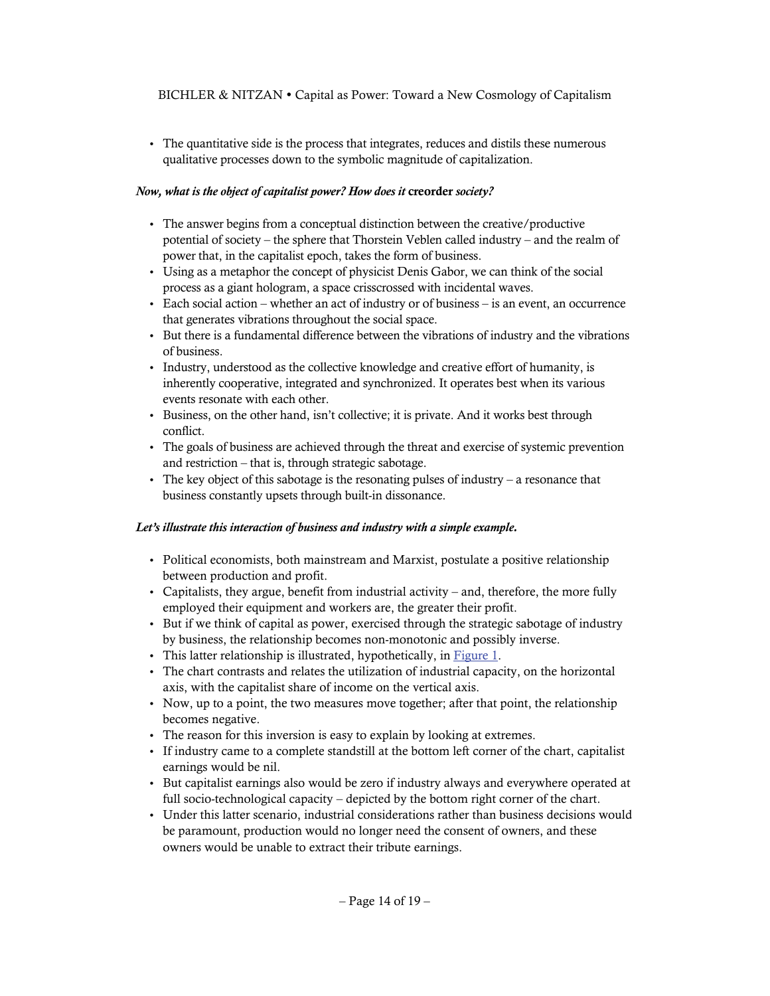The quantitative side is the process that integrates, reduces and distils these numerous qualitative processes down to the symbolic magnitude of capitalization.

# *Now, what is the object of capitalist power? How does it creorder society?*

- The answer begins from a conceptual distinction between the creative/productive potential of society – the sphere that Thorstein Veblen called industry – and the realm of power that, in the capitalist epoch, takes the form of business.
- Using as a metaphor the concept of physicist Denis Gabor, we can think of the social process as a giant hologram, a space crisscrossed with incidental waves.
- Each social action whether an act of industry or of business is an event, an occurrence that generates vibrations throughout the social space.
- But there is a fundamental difference between the vibrations of industry and the vibrations of business.
- Industry, understood as the collective knowledge and creative effort of humanity, is inherently cooperative, integrated and synchronized. It operates best when its various events resonate with each other.
- Business, on the other hand, isn't collective; it is private. And it works best through conflict.
- The goals of business are achieved through the threat and exercise of systemic prevention and restriction – that is, through strategic sabotage.
- The key object of this sabotage is the resonating pulses of industry a resonance that business constantly upsets through built-in dissonance.

# *Let's illustrate this interaction of business and industry with a simple example.*

- Political economists, both mainstream and Marxist, postulate a positive relationship between production and profit.
- Capitalists, they argue, benefit from industrial activity and, therefore, the more fully employed their equipment and workers are, the greater their profit.
- But if we think of capital as power, exercised through the strategic sabotage of industry by business, the relationship becomes non-monotonic and possibly inverse.
- This latter relationship is illustrated, hypothetically, in [Figure 1](#page-14-0).
- The chart contrasts and relates the utilization of industrial capacity, on the horizontal axis, with the capitalist share of income on the vertical axis.
- Now, up to a point, the two measures move together; after that point, the relationship becomes negative.
- The reason for this inversion is easy to explain by looking at extremes.
- If industry came to a complete standstill at the bottom left corner of the chart, capitalist earnings would be nil.
- But capitalist earnings also would be zero if industry always and everywhere operated at full socio-technological capacity – depicted by the bottom right corner of the chart.
- Under this latter scenario, industrial considerations rather than business decisions would be paramount, production would no longer need the consent of owners, and these owners would be unable to extract their tribute earnings.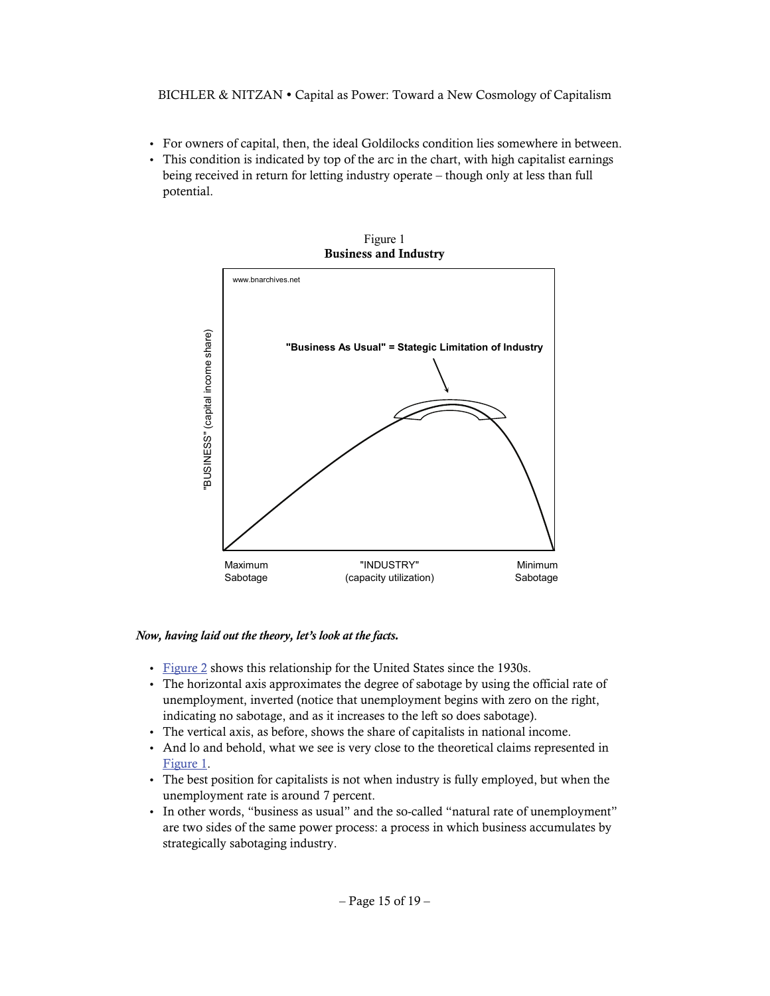- For owners of capital, then, the ideal Goldilocks condition lies somewhere in between.
- <span id="page-14-0"></span> This condition is indicated by top of the arc in the chart, with high capitalist earnings being received in return for letting industry operate – though only at less than full potential.



Figure 1

### *Now, having laid out the theory, let's look at the facts.*

- [Figure 2](#page-15-0) shows this relationship for the United States since the 1930s.
- The horizontal axis approximates the degree of sabotage by using the official rate of unemployment, inverted (notice that unemployment begins with zero on the right, indicating no sabotage, and as it increases to the left so does sabotage).
- The vertical axis, as before, shows the share of capitalists in national income.
- And lo and behold, what we see is very close to the theoretical claims represented in [Figure 1.](#page-14-0)
- The best position for capitalists is not when industry is fully employed, but when the unemployment rate is around 7 percent.
- In other words, "business as usual" and the so-called "natural rate of unemployment" are two sides of the same power process: a process in which business accumulates by strategically sabotaging industry.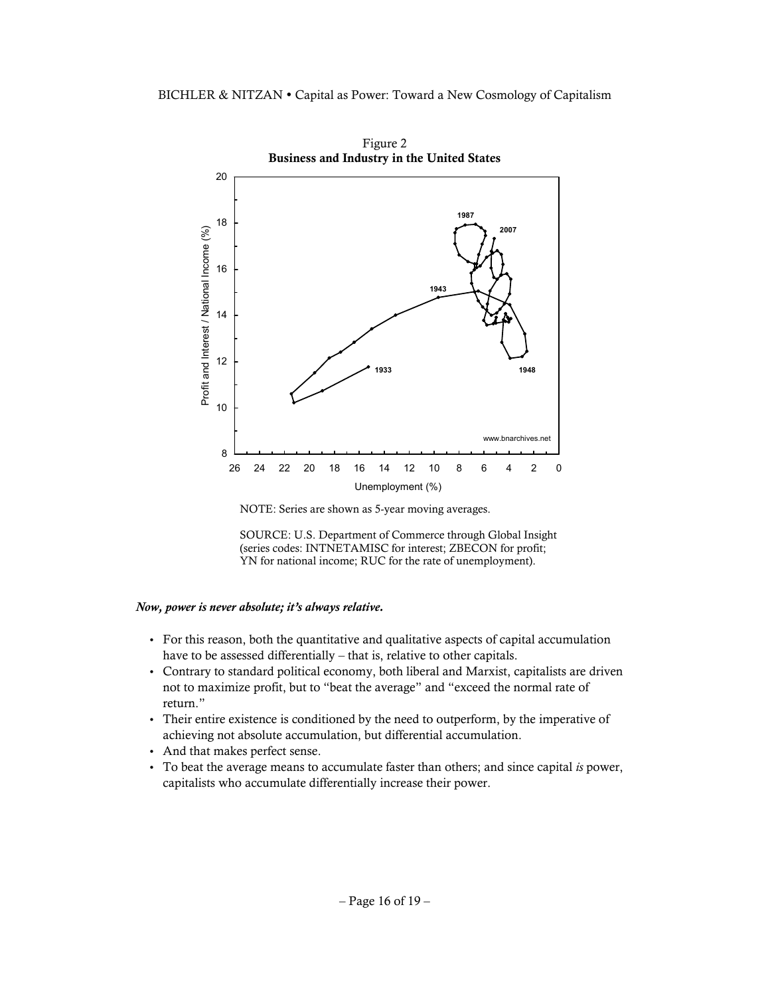<span id="page-15-0"></span>

Figure 2

NOTE: Series are shown as 5-year moving averages.



#### *Now, power is never absolute; it's always relative.*

- For this reason, both the quantitative and qualitative aspects of capital accumulation have to be assessed differentially – that is, relative to other capitals.
- Contrary to standard political economy, both liberal and Marxist, capitalists are driven not to maximize profit, but to "beat the average" and "exceed the normal rate of return."
- Their entire existence is conditioned by the need to outperform, by the imperative of achieving not absolute accumulation, but differential accumulation.
- And that makes perfect sense.
- To beat the average means to accumulate faster than others; and since capital *is* power, capitalists who accumulate differentially increase their power.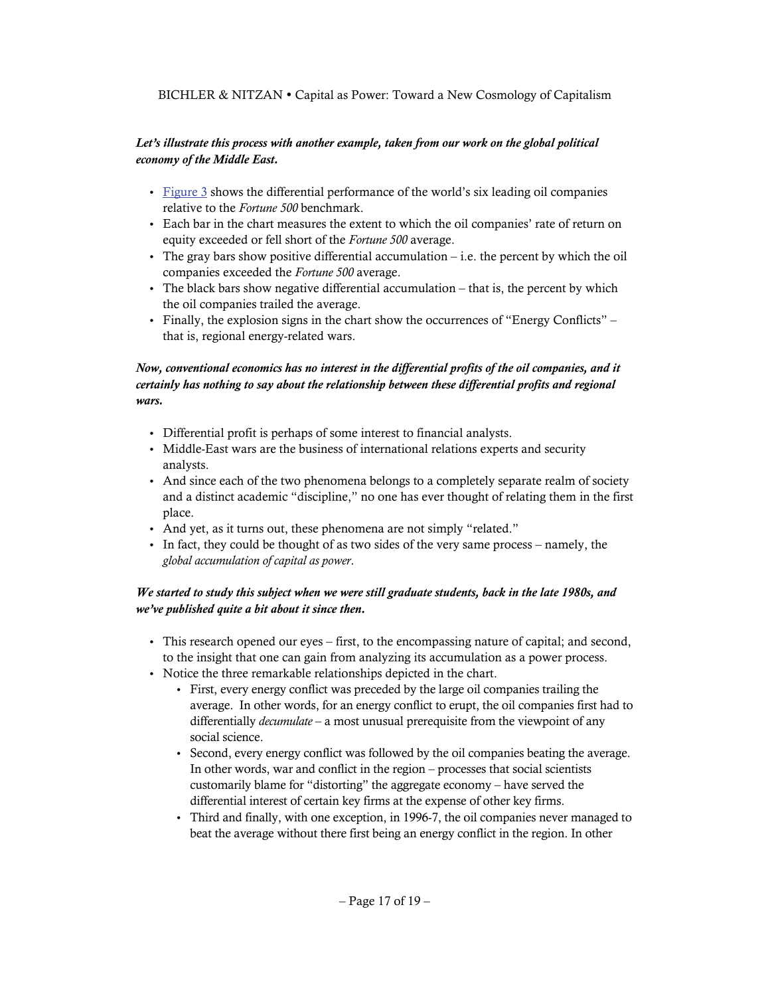## *Let's illustrate this process with another example, taken from our work on the global political economy of the Middle East.*

- $\cdot$  [Figure 3](#page-17-0) shows the differential performance of the world's six leading oil companies relative to the *Fortune 500* benchmark.
- Each bar in the chart measures the extent to which the oil companies' rate of return on equity exceeded or fell short of the *Fortune 500* average.
- $\bullet$  The gray bars show positive differential accumulation i.e. the percent by which the oil companies exceeded the *Fortune 500* average.
- $\bullet$  The black bars show negative differential accumulation that is, the percent by which the oil companies trailed the average.
- Finally, the explosion signs in the chart show the occurrences of "Energy Conflicts" that is, regional energy-related wars.

## *Now, conventional economics has no interest in the differential profits of the oil companies, and it certainly has nothing to say about the relationship between these differential profits and regional wars.*

- Differential profit is perhaps of some interest to financial analysts.
- Middle-East wars are the business of international relations experts and security analysts.
- And since each of the two phenomena belongs to a completely separate realm of society and a distinct academic "discipline," no one has ever thought of relating them in the first place.
- And yet, as it turns out, these phenomena are not simply "related."
- In fact, they could be thought of as two sides of the very same process namely, the *global accumulation of capital as power*.

# *We started to study this subject when we were still graduate students, back in the late 1980s, and we've published quite a bit about it since then.*

- This research opened our eyes first, to the encompassing nature of capital; and second, to the insight that one can gain from analyzing its accumulation as a power process.
- Notice the three remarkable relationships depicted in the chart.
	- First, every energy conflict was preceded by the large oil companies trailing the average. In other words, for an energy conflict to erupt, the oil companies first had to differentially *decumulate* – a most unusual prerequisite from the viewpoint of any social science.
	- Second, every energy conflict was followed by the oil companies beating the average. In other words, war and conflict in the region – processes that social scientists customarily blame for "distorting" the aggregate economy – have served the differential interest of certain key firms at the expense of other key firms.
	- Third and finally, with one exception, in 1996-7, the oil companies never managed to beat the average without there first being an energy conflict in the region. In other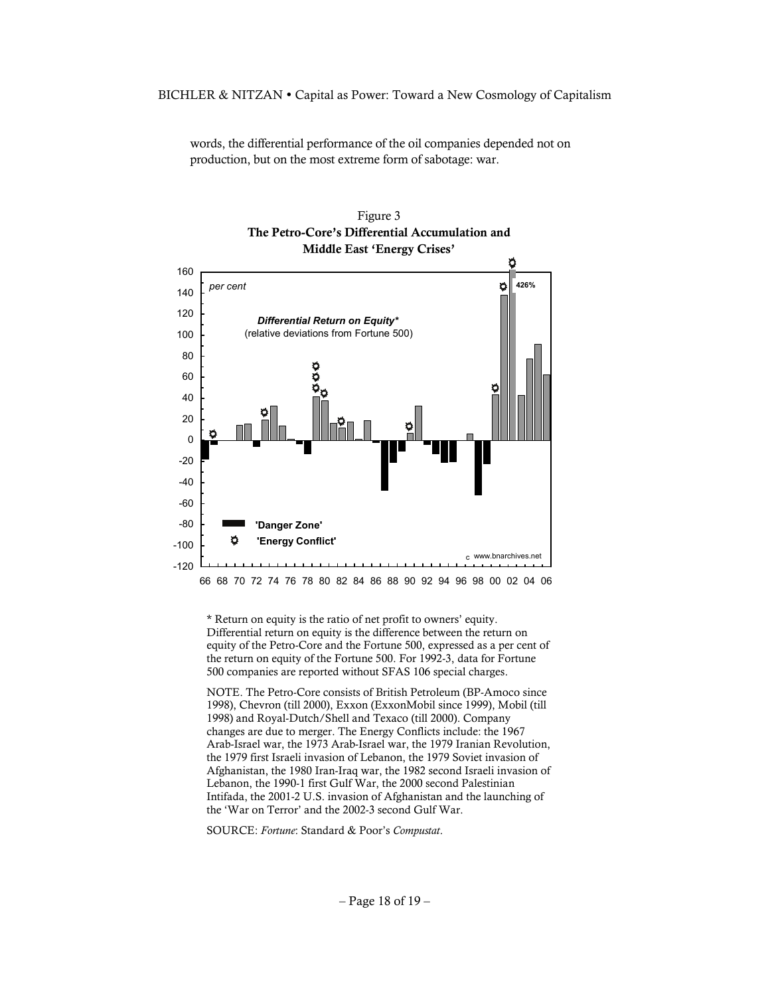words, the differential performance of the oil companies depended not on production, but on the most extreme form of sabotage: war.

<span id="page-17-0"></span>

Figure 3 **The Petro-Core's Differential Accumulation and Middle East 'Energy Crises'** 

66 68 70 72 74 76 78 80 82 84 86 88 90 92 94 96 98 00 02 04 06

\* Return on equity is the ratio of net profit to owners' equity. Differential return on equity is the difference between the return on equity of the Petro-Core and the Fortune 500, expressed as a per cent of the return on equity of the Fortune 500. For 1992-3, data for Fortune 500 companies are reported without SFAS 106 special charges.

NOTE. The Petro-Core consists of British Petroleum (BP-Amoco since 1998), Chevron (till 2000), Exxon (ExxonMobil since 1999), Mobil (till 1998) and Royal-Dutch/Shell and Texaco (till 2000). Company changes are due to merger. The Energy Conflicts include: the 1967 Arab-Israel war, the 1973 Arab-Israel war, the 1979 Iranian Revolution, the 1979 first Israeli invasion of Lebanon, the 1979 Soviet invasion of Afghanistan, the 1980 Iran-Iraq war, the 1982 second Israeli invasion of Lebanon, the 1990-1 first Gulf War, the 2000 second Palestinian Intifada, the 2001-2 U.S. invasion of Afghanistan and the launching of the 'War on Terror' and the 2002-3 second Gulf War.

SOURCE: *Fortune*: Standard & Poor's *Compustat*.